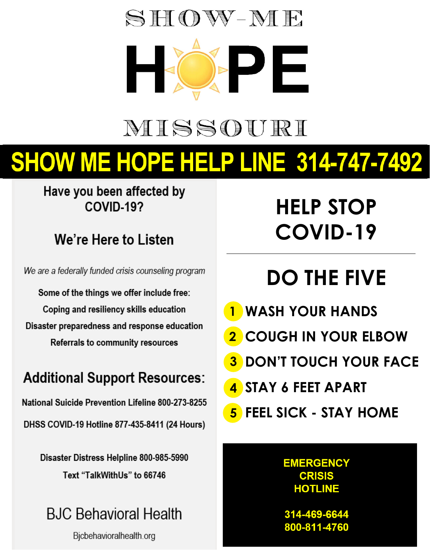# $SHOW-ME$

# MISSOURI

# **SHOW ME HOPE HELP LINE 314-747-7492**

#### **Have you been affected by Tornado, Flood, or COVID-19?**

### *We are a federally funded crisis counseling program*

We are a federally funded crisis counseling program

Some of the things we offer include free: **Coping and resiliency skills education** Disaster preparedness and response education **Referrals to community resources** 

### **Additional Support Resources:**

**Mental Health Crisis Line 800-833-3915 After Hours 7 p.m. - 7 a.m.**

**DHSS COVID-19 Hotline 877-435-8411 (24 Hours)** 

**Disaster Distress Helpline 800-985-5990 Text "TalkWithUs" to 66746** 

### **BJC Behavioral Health**

Fichebovioralhealth org  $f_{\text{S}}$ 

## **HELP STOP COVID-19**

# **DO THE FIVE**

- **WASH YOUR HANDS 1**
- **COUGH IN YOUR ELBOW 2**
- **DON'T TOUCH YOUR FACE 3**
- **STAY 6 FEET APART 4**
- **FEEL SICK STAY HOME 5**

### **EMERGENCY HOTLINE**

**314-469-6644 888-237-4567**